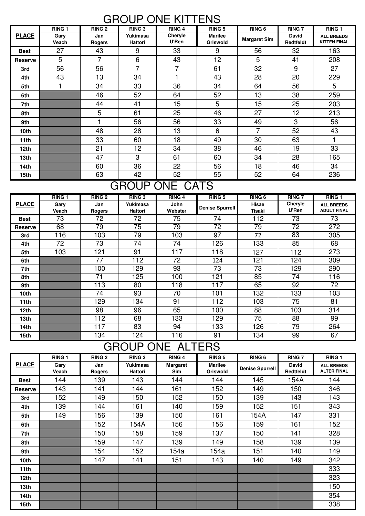#### GROUP ONE KITTENS

|                | <b>RING 1</b> | <b>RING 2</b>        | <b>RING 3</b>              | <b>RING 4</b>    | <b>RING 5</b>                     | <b>RING 6</b>       | <b>RING 7</b>             | RING <sub>1</sub>                        |
|----------------|---------------|----------------------|----------------------------|------------------|-----------------------------------|---------------------|---------------------------|------------------------------------------|
| <b>PLACE</b>   | Gary<br>Veach | Jan<br><b>Rogers</b> | Yukimasa<br><b>Hattori</b> | Cheryle<br>U'Ren | <b>Marilee</b><br><b>Griswold</b> | <b>Margaret Sim</b> | David<br><b>Redtfeldt</b> | <b>ALL BREEDS</b><br><b>KITTEN FINAL</b> |
| <b>Best</b>    | 27            | 43                   | 9                          | 33               | 9                                 | 56                  | 32                        | 163                                      |
| <b>Reserve</b> | 5             | $\overline{7}$       | 6                          | 43               | 12                                | 5                   | 41                        | 208                                      |
| 3rd            | 56            | 56                   | $\overline{7}$             | 7                | 61                                | 32                  | 9                         | 27                                       |
| 4th            | 43            | 13                   | 34                         | 4                | 43                                | 28                  | 20                        | 229                                      |
| 5th            |               | 34                   | 33                         | 36               | 34                                | 64                  | 56                        | 5                                        |
| 6th            |               | 46                   | 52                         | 64               | 52                                | 13                  | 38                        | 259                                      |
| 7th            |               | 44                   | 41                         | 15               | 5                                 | 15                  | 25                        | 203                                      |
| 8th            |               | 5                    | 61                         | 25               | 46                                | 27                  | 12                        | 213                                      |
| 9th            |               |                      | 56                         | 56               | 33                                | 49                  | 3                         | 56                                       |
| 10th           |               | 48                   | 28                         | 13               | 6                                 | 7                   | 52                        | 43                                       |
| 11th           |               | 33                   | 60                         | 18               | 49                                | 30                  | 63                        |                                          |
| 12th           |               | 21                   | 12 <sub>2</sub>            | 34               | 38                                | 46                  | 19                        | 33                                       |
| 13th           |               | 47                   | 3                          | 61               | 60                                | 34                  | 28                        | 165                                      |
| 14th           |               | 60                   | 36                         | 22               | 56                                | 18                  | 46                        | 34                                       |
| 15th           |               | 63                   | 42                         | 52               | 55                                | 52                  | 64                        | 236                                      |

# GROUP ONE CATS

|                  | <b>RING 1</b> | <b>RING 2</b>    | <b>RING 3</b> | <b>RING 4</b>   | <b>RING 5</b>          | <b>RING 6</b>    | <b>RING 7</b>   | <b>RING 1</b>      |
|------------------|---------------|------------------|---------------|-----------------|------------------------|------------------|-----------------|--------------------|
| <b>PLACE</b>     | Gary          | Jan              | Yukimasa      | <b>John</b>     | <b>Denise Spurrell</b> | Hisae            | Cheryle         | <b>ALL BREEDS</b>  |
|                  | Veach         | <b>Rogers</b>    | Hattori       | Webster         |                        | Tisaki           | U'Ren           | <b>ADULT FINAL</b> |
| <b>Best</b>      | 73            | 72               | 72            | $\overline{75}$ | $\overline{74}$        | $\overline{112}$ | $\overline{73}$ | $\overline{73}$    |
| <b>Reserve</b>   | 68            | 79               | 75            | 79              | 72                     | 79               | 72              | 272                |
| 3rd              | 116           | 103              | 79            | 103             | 97                     | 72               | 83              | 305                |
| 4th              | 72            | 73               | 74            | 74              | 126                    | 133              | 85              | 68                 |
| 5th              | 103           | 121              | 91            | 117             | 118                    | 127              | 112             | 273                |
| 6th              |               | 77               | 112           | 72              | 124                    | 121              | 124             | 309                |
| 7th              |               | 100              | 129           | 93              | 73                     | 73               | 129             | 290                |
| 8th              |               | 71               | 125           | 100             | 121                    | 85               | 74              | 116                |
| 9th              |               | $\overline{113}$ | 80            | 118             | 117                    | 65               | 92              | 72                 |
| 10th             |               | 74               | 93            | 70              | 101                    | 132              | 133             | 103                |
| 11th             |               | 129              | 134           | 91              | 112                    | 103              | $\overline{75}$ | 81                 |
| 12 <sub>th</sub> |               | 98               | 96            | 65              | 100                    | 88               | 103             | 314                |
| 13th             |               | 112              | 68            | 133             | 129                    | 75               | 88              | 99                 |
| 14th             |               | 117              | 83            | 94              | 133                    | 126              | 79              | 264                |
| 15th             |               | 134              | 124           | 116             | 91                     | 134              | 99              | 67                 |

## GROUP ONE ALTERS

|                | <b>RING 1</b> | <b>RING 2</b> | <b>RING 3</b>       | <b>RING 4</b>                 | <b>RING 5</b>                     | RING <sub>6</sub> | <b>RING 7</b>      | <b>RING 1</b>                           |
|----------------|---------------|---------------|---------------------|-------------------------------|-----------------------------------|-------------------|--------------------|-----------------------------------------|
| <b>PLACE</b>   | Gary<br>Veach | Jan<br>Rogers | Yukimasa<br>Hattori | <b>Margaret</b><br><b>Sim</b> | <b>Marilee</b><br><b>Griswold</b> | Denise Spurrell   | David<br>Redtfeldt | <b>ALL BREEDS</b><br><b>ALTER FINAL</b> |
| <b>Best</b>    | 144           | 139           | 143                 | 144                           | 144                               | 145               | 154A               | 144                                     |
| <b>Reserve</b> | 143           | 141           | 144                 | 161                           | 152                               | 149               | 150                | 346                                     |
| 3rd            | 152           | 149           | 150                 | 152                           | 150                               | 139               | 143                | 143                                     |
| 4th            | 139           | 144           | 161                 | 140                           | 159                               | 152               | 151                | 343                                     |
| 5th            | 149           | 156           | 139                 | 150                           | 161                               | 154A              | 147                | 331                                     |
| 6th            |               | 152           | 154A                | 156                           | 156                               | 159               | 161                | 152                                     |
| 7th            |               | 150           | 158                 | 159                           | 137                               | 150               | 141                | 328                                     |
| 8th            |               | 159           | 147                 | 139                           | 149                               | 158               | 139                | 139                                     |
| 9th            |               | 154           | 152                 | 154a                          | 154a                              | 151               | 140                | 149                                     |
| 10th           |               | 147           | 141                 | 151                           | 143                               | 140               | 149                | 342                                     |
| 11th           |               |               |                     |                               |                                   |                   |                    | 333                                     |
| 12th           |               |               |                     |                               |                                   |                   |                    | 323                                     |
| 13th           |               |               |                     |                               |                                   |                   |                    | 150                                     |
| 14th           |               |               |                     |                               |                                   |                   |                    | 354                                     |
| 15th           |               |               |                     |                               |                                   |                   |                    | 338                                     |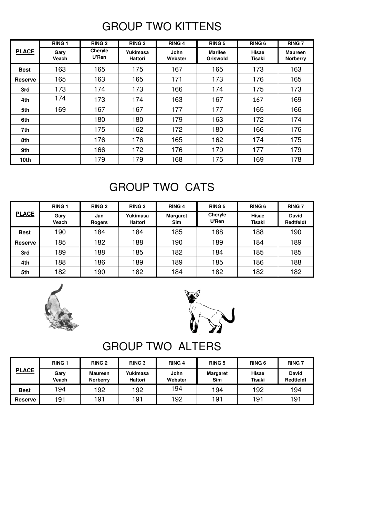## GROUP TWO KITTENS

|                | <b>RING 1</b> | <b>RING 2</b>    | <b>RING 3</b>              | <b>RING 4</b>          | <b>RING 5</b>                     | <b>RING 6</b>          | <b>RING 7</b>                     |
|----------------|---------------|------------------|----------------------------|------------------------|-----------------------------------|------------------------|-----------------------------------|
| <b>PLACE</b>   | Gary<br>Veach | Cheryle<br>U'Ren | Yukimasa<br><b>Hattori</b> | <b>John</b><br>Webster | <b>Marilee</b><br><b>Griswold</b> | Hisae<br><b>Tisaki</b> | <b>Maureen</b><br><b>Norberry</b> |
| <b>Best</b>    | 163           | 165              | 175                        | 167                    | 165                               | 173                    | 163                               |
| <b>Reserve</b> | 165           | 163              | 165                        | 171                    | 173                               | 176                    | 165                               |
| 3rd            | 173           | 174              | 173                        | 166                    | 174                               | 175                    | 173                               |
| 4th            | 174           | 173              | 174                        | 163                    | 167                               | 167                    | 169                               |
| 5th            | 169           | 167              | 167                        | 177                    | 177                               | 165                    | 166                               |
| 6th            |               | 180              | 180                        | 179                    | 163                               | 172                    | 174                               |
| 7th            |               | 175              | 162                        | 172                    | 180                               | 166                    | 176                               |
| 8th            |               | 176              | 176                        | 165                    | 162                               | 174                    | 175                               |
| 9th            |               | 166              | 172                        | 176                    | 179                               | 177                    | 179                               |
| 10th           |               | 179              | 179                        | 168                    | 175                               | 169                    | 178                               |

## GROUP TWO CATS

| <b>PLACE</b>   | <b>RING 1</b> | <b>RING 2</b> | <b>RING 3</b>       | <b>RING 4</b>                 | <b>RING 5</b>    | <b>RING 6</b>   | <b>RING 7</b>             |
|----------------|---------------|---------------|---------------------|-------------------------------|------------------|-----------------|---------------------------|
|                | Gary<br>Veach | Jan<br>Rogers | Yukimasa<br>Hattori | <b>Margaret</b><br><b>Sim</b> | Cheryle<br>U'Ren | Hisae<br>Tisaki | <b>David</b><br>Redtfeldt |
| <b>Best</b>    | 190           | 184           | 184                 | 185                           | 188              | 188             | 190                       |
| <b>Reserve</b> | 185           | 182           | 188                 | 190                           | 189              | 184             | 189                       |
| 3rd            | 189           | 188           | 185                 | 182                           | 184              | 185             | 185                       |
| 4th            | 188           | 186           | 189                 | 189                           | 185              | 186             | 188                       |
| 5th            | 182           | 190           | 182                 | 184                           | 182              | 182             | 182                       |





# GROUP TWO ALTERS

| <b>PLACE</b>   | <b>RING 1</b> | <b>RING 2</b>                     | <b>RING 3</b>       | <b>RING 4</b>   | <b>RING 5</b>          | <b>RING 6</b>                 | <b>RING 7</b>             |
|----------------|---------------|-----------------------------------|---------------------|-----------------|------------------------|-------------------------------|---------------------------|
|                | Gary<br>Veach | <b>Maureen</b><br><b>Norberry</b> | Yukimasa<br>Hattori | John<br>Webster | <b>Margaret</b><br>Sim | <b>Hisae</b><br><b>Tisaki</b> | <b>David</b><br>Redtfeldt |
| <b>Best</b>    | 194           | 192                               | 192                 | 194             | 194                    | 192                           | 194                       |
| <b>Reserve</b> | 191           | 191                               | 191                 | 192             | 191                    | 191                           | 191                       |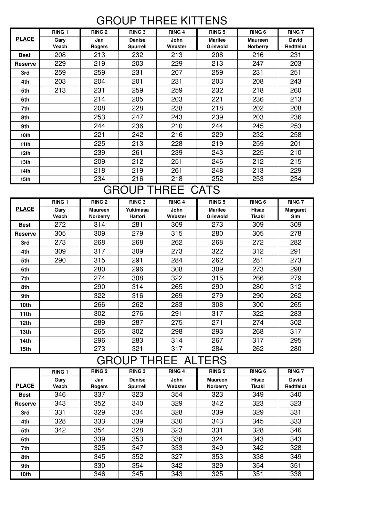#### GROUP THREE KITTENS

|                  | <b>RING 1</b> | <b>RING 2</b> | <b>RING 3</b>                    | <b>RING 4</b>          | <b>RING 5</b>                     | <b>RING 6</b>                     | <b>RING 7</b>                    |
|------------------|---------------|---------------|----------------------------------|------------------------|-----------------------------------|-----------------------------------|----------------------------------|
| <b>PLACE</b>     | Gary<br>Veach | Jan<br>Rogers | <b>Denise</b><br><b>Spurrell</b> | <b>John</b><br>Webster | <b>Marilee</b><br><b>Griswold</b> | <b>Maureen</b><br><b>Norberry</b> | <b>David</b><br><b>Redtfeldt</b> |
| <b>Best</b>      | 208           | 213           | 232                              | 213                    | 208                               | 216                               | 231                              |
| <b>Reserve</b>   | 229           | 219           | 203                              | 229                    | 213                               | 247                               | 203                              |
| 3rd              | 259           | 259           | 231                              | 207                    | 259                               | 231                               | 251                              |
| 4th              | 203           | 204           | 201                              | 231                    | 203                               | 208                               | 243                              |
| 5th              | 213           | 231           | 259                              | 259                    | 232                               | 218                               | 260                              |
| 6th              |               | 214           | 205                              | 203                    | 221                               | 236                               | 213                              |
| 7th              |               | 208           | 228                              | 238                    | 218                               | 202                               | 208                              |
| 8th              |               | 253           | 247                              | 243                    | 239                               | 203                               | 236                              |
| 9th              |               | 244           | 236                              | 210                    | 244                               | 245                               | 253                              |
| 10 <sub>th</sub> |               | 221           | 242                              | 216                    | 229                               | 232                               | 258                              |
| 11 <sup>th</sup> |               | 225           | 213                              | 228                    | 219                               | 259                               | 201                              |
| 12th             |               | 239           | 261                              | 239                    | 243                               | 225                               | 210                              |
| 13 <sub>th</sub> |               | 209           | 212                              | 251                    | 246                               | 212                               | 215                              |
| 14th             |               | 218           | 219                              | 261                    | 248                               | 213                               | 229                              |
| 15th             |               | 234           | 216                              | 218                    | 252                               | 253                               | 234                              |

## GROUP THREE CATS

|                  | <b>RING 1</b> | <b>RING 2</b>   | <b>RING 3</b> | <b>RING 4</b> | <b>RING 5</b>  | RING <sub>6</sub> | <b>RING 7</b>   |
|------------------|---------------|-----------------|---------------|---------------|----------------|-------------------|-----------------|
| <b>PLACE</b>     | Gary          | <b>Maureen</b>  | Yukimasa      | John          | <b>Marilee</b> | Hisae             | <b>Margaret</b> |
|                  | Veach         | <b>Norberry</b> | Hattori       | Webster       | Griswold       | Tisaki            | Sim             |
| <b>Best</b>      | 272           | 314             | 281           | 309           | 273            | 309               | 309             |
| <b>Reserve</b>   | 305           | 309             | 279           | 315           | 280            | 305               | 278             |
| 3rd              | 273           | 268             | 268           | 262           | 268            | 272               | 282             |
| 4th              | 309           | 317             | 309           | 273           | 322            | 312               | 291             |
| 5th              | 290           | 315             | 291           | 284           | 262            | 281               | 273             |
| 6th              |               | 280             | 296           | 308           | 309            | 273               | 298             |
| 7th              |               | 274             | 308           | 322           | 315            | 266               | 279             |
| 8th              |               | 290             | 314           | 265           | 290            | 280               | 312             |
| 9th              |               | 322             | 316           | 269           | 279            | 290               | 262             |
| 10th             |               | 266             | 262           | 283           | 308            | 300               | 265             |
| 11th             |               | 302             | 276           | 291           | 317            | 322               | 283             |
| 12 <sub>th</sub> |               | 289             | 287           | 275           | 271            | 274               | 302             |
| 13 <sub>th</sub> |               | 265             | 302           | 298           | 293            | 268               | 317             |
| 14th             |               | 296             | 283           | 314           | 267            | 317               | 295             |
| 15th             |               | 273             | 321           | 317           | 284            | 262               | 280             |

## GROUP THREE ALTERS

|                  | <b>RING 1</b> | <b>RING 2</b>        | <b>RING 3</b>             | <b>RING 4</b>   | <b>RING 5</b>                     | <b>RING 6</b>   | <b>RING 7</b>      |
|------------------|---------------|----------------------|---------------------------|-----------------|-----------------------------------|-----------------|--------------------|
| <b>PLACE</b>     | Gary<br>Veach | Jan<br><b>Rogers</b> | <b>Denise</b><br>Spurrell | John<br>Webster | <b>Maureen</b><br><b>Norberry</b> | Hisae<br>Tisaki | David<br>Redtfeldt |
| <b>Best</b>      | 346           | 337                  | 323                       | 354             | 323                               | 349             | 340                |
| Reserve          | 343           | 352                  | 340                       | 329             | 342                               | 323             | 323                |
| 3rd              | 331           | 329                  | 334                       | 328             | 339                               | 329             | 331                |
| 4th              | 328           | 333                  | 339                       | 330             | 343                               | 345             | 333                |
| 5th              | 342           | 354                  | 328                       | 323             | 331                               | 328             | 346                |
| 6th              |               | 339                  | 353                       | 338             | 324                               | 343             | 343                |
| 7th              |               | 325                  | 347                       | 333             | 349                               | 342             | 328                |
| 8th              |               | 345                  | 352                       | 327             | 353                               | 338             | 349                |
| 9th              |               | 330                  | 354                       | 342             | 329                               | 354             | 351                |
| 10 <sub>th</sub> |               | 346                  | 345                       | 343             | 325                               | 351             | 338                |